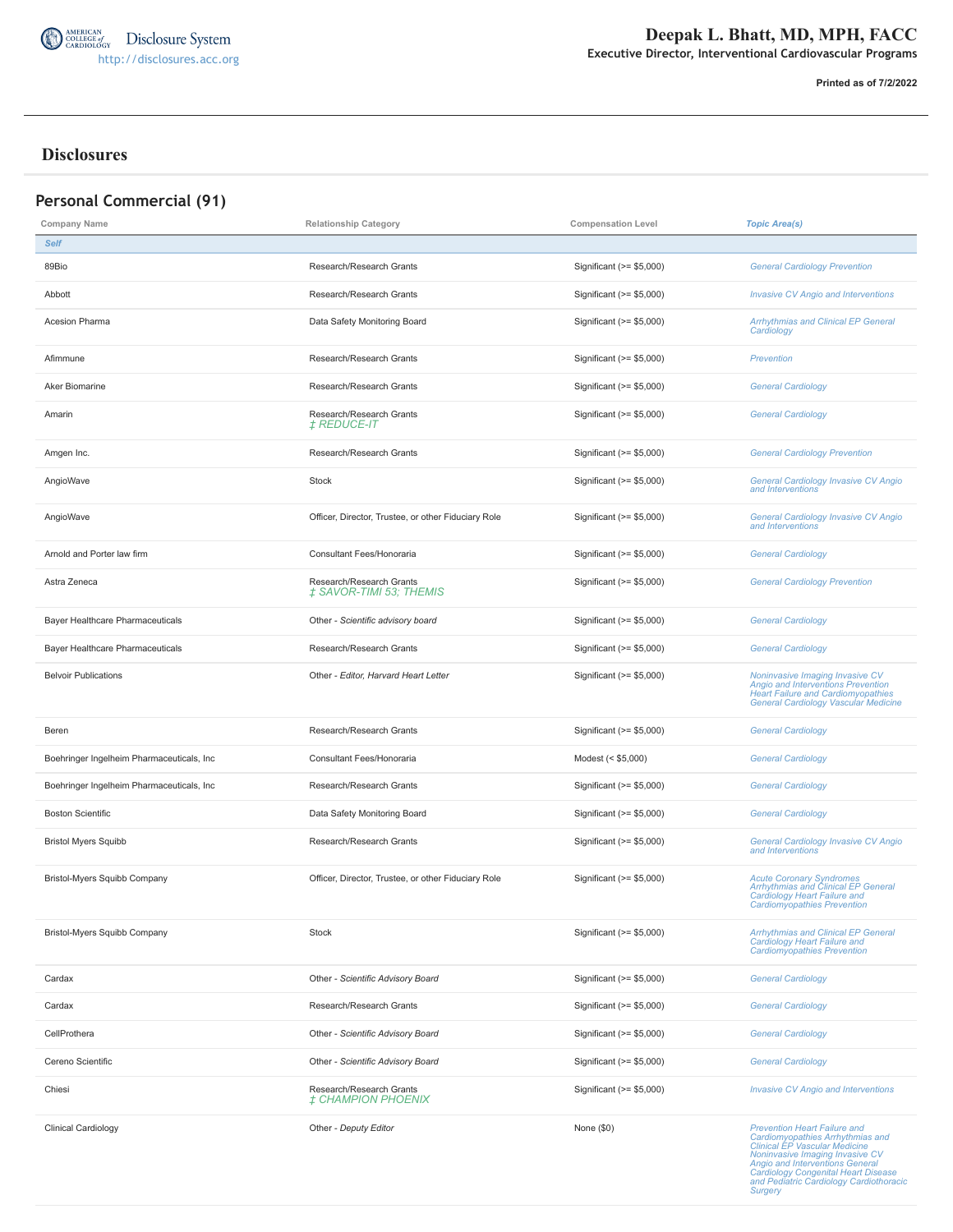

**Printed as of 7/2/2022**

#### **Disclosures**

| <b>Personal Commercial (91)</b>              |                                                                                         |                           |                                                                                                                                                                                                                                                                                           |  |
|----------------------------------------------|-----------------------------------------------------------------------------------------|---------------------------|-------------------------------------------------------------------------------------------------------------------------------------------------------------------------------------------------------------------------------------------------------------------------------------------|--|
| Company Name<br><b>Relationship Category</b> |                                                                                         | <b>Compensation Level</b> | <b>Topic Area(s)</b>                                                                                                                                                                                                                                                                      |  |
| <b>Self</b>                                  |                                                                                         |                           |                                                                                                                                                                                                                                                                                           |  |
| 89Bio                                        | Research/Research Grants                                                                | Significant (>= \$5,000)  | <b>General Cardiology Prevention</b>                                                                                                                                                                                                                                                      |  |
| Abbott                                       | Research/Research Grants                                                                | Significant (>= \$5,000)  | <b>Invasive CV Angio and Interventions</b>                                                                                                                                                                                                                                                |  |
| Acesion Pharma                               | Data Safety Monitoring Board                                                            | Significant (>= \$5,000)  | <b>Arrhythmias and Clinical EP General</b><br>Cardiology                                                                                                                                                                                                                                  |  |
| Afimmune                                     | Research/Research Grants                                                                | Significant (>= \$5,000)  | Prevention                                                                                                                                                                                                                                                                                |  |
| Aker Biomarine                               | Research/Research Grants                                                                | Significant (>= \$5,000)  | <b>General Cardiology</b>                                                                                                                                                                                                                                                                 |  |
| Amarin                                       | Research/Research Grants<br><i>‡ REDUCE-IT</i>                                          | Significant (>= \$5,000)  | <b>General Cardiology</b>                                                                                                                                                                                                                                                                 |  |
| Amgen Inc.                                   | Research/Research Grants                                                                | Significant $(>= $5,000)$ | <b>General Cardiology Prevention</b>                                                                                                                                                                                                                                                      |  |
| AngioWave                                    | Stock                                                                                   | Significant (>= \$5,000)  | General Cardiology Invasive CV Angio<br>and Interventions                                                                                                                                                                                                                                 |  |
| AngioWave                                    | Officer, Director, Trustee, or other Fiduciary Role                                     | Significant (>= \$5,000)  | General Cardiology Invasive CV Angio<br>and Interventions                                                                                                                                                                                                                                 |  |
| Arnold and Porter law firm                   | Consultant Fees/Honoraria                                                               | Significant $(>= $5,000)$ | <b>General Cardiology</b>                                                                                                                                                                                                                                                                 |  |
| Astra Zeneca                                 | Research/Research Grants<br>Significant $(>= $5,000)$<br><b>‡ SAVOR-TIMI 53; THEMIS</b> |                           | <b>General Cardiology Prevention</b>                                                                                                                                                                                                                                                      |  |
| Bayer Healthcare Pharmaceuticals             | Other - Scientific advisory board<br>Significant (>= \$5,000)                           |                           | <b>General Cardiology</b>                                                                                                                                                                                                                                                                 |  |
| Bayer Healthcare Pharmaceuticals             | Research/Research Grants                                                                | Significant (>= \$5,000)  | <b>General Cardiology</b>                                                                                                                                                                                                                                                                 |  |
| <b>Belvoir Publications</b>                  | Other - Editor, Harvard Heart Letter                                                    | Significant (>= \$5,000)  | Noninvasive Imaging Invasive CV<br>Angio and Interventions Prevention<br>Heart Failure and Cardiomyopathies<br>General Cardiology Vascular Medicine                                                                                                                                       |  |
| Beren                                        | Research/Research Grants                                                                | Significant (>= \$5,000)  | <b>General Cardiology</b>                                                                                                                                                                                                                                                                 |  |
| Boehringer Ingelheim Pharmaceuticals, Inc    | Consultant Fees/Honoraria                                                               | Modest (< \$5,000)        | <b>General Cardiology</b>                                                                                                                                                                                                                                                                 |  |
| Boehringer Ingelheim Pharmaceuticals, Inc    | Research/Research Grants<br>Significant (>= \$5,000)                                    |                           | <b>General Cardiology</b>                                                                                                                                                                                                                                                                 |  |
| <b>Boston Scientific</b>                     | Data Safety Monitoring Board                                                            | Significant (>= \$5,000)  | <b>General Cardiology</b>                                                                                                                                                                                                                                                                 |  |
| <b>Bristol Myers Squibb</b>                  | Research/Research Grants                                                                | Significant (>= \$5,000)  | General Cardiology Invasive CV Angio<br>and Interventions                                                                                                                                                                                                                                 |  |
| <b>Bristol-Myers Squibb Company</b>          | Officer, Director, Trustee, or other Fiduciary Role<br>Significant $(>= $5,000)$        |                           | <b>Acute Coronary Syndromes</b><br>Arrhythmias and Clinical EP General<br>Cardiology Heart Failure and<br><b>Cardiomyopathies Prevention</b>                                                                                                                                              |  |
| <b>Bristol-Myers Squibb Company</b>          | <b>Stock</b><br>Significant (>= \$5,000)                                                |                           | <b>Arrhythmias and Clinical EP General</b><br>Cardiology Heart Failure and<br><b>Cardiomyopathies Prevention</b>                                                                                                                                                                          |  |
| Cardax                                       | Other - Scientific Advisory Board                                                       | Significant (>= \$5,000)  | <b>General Cardiology</b>                                                                                                                                                                                                                                                                 |  |
| Cardax                                       | Research/Research Grants                                                                | Significant (>= \$5,000)  | <b>General Cardiology</b>                                                                                                                                                                                                                                                                 |  |
| CellProthera                                 | Other - Scientific Advisory Board                                                       | Significant (>= \$5,000)  | <b>General Cardiology</b>                                                                                                                                                                                                                                                                 |  |
| Cereno Scientific                            | Other - Scientific Advisory Board                                                       | Significant (>= \$5,000)  | <b>General Cardiology</b>                                                                                                                                                                                                                                                                 |  |
| Chiesi                                       | Research/Research Grants<br><b>‡ CHAMPION PHOENIX</b>                                   | Significant (>= \$5,000)  | <b>Invasive CV Angio and Interventions</b>                                                                                                                                                                                                                                                |  |
| Clinical Cardiology                          | Other - Deputy Editor                                                                   | None $(\$0)$              | <b>Prevention Heart Failure and</b><br>Cardiomyopathies Arrhythmias and<br>Clinical EP Vascular Medicine<br>Noninvasive Imaging Invasive CV<br><b>Angio and Interventions General</b><br><b>Cardiology Congenital Heart Disease</b><br>and Pediatric Cardiology Cardiothoracic<br>Surgery |  |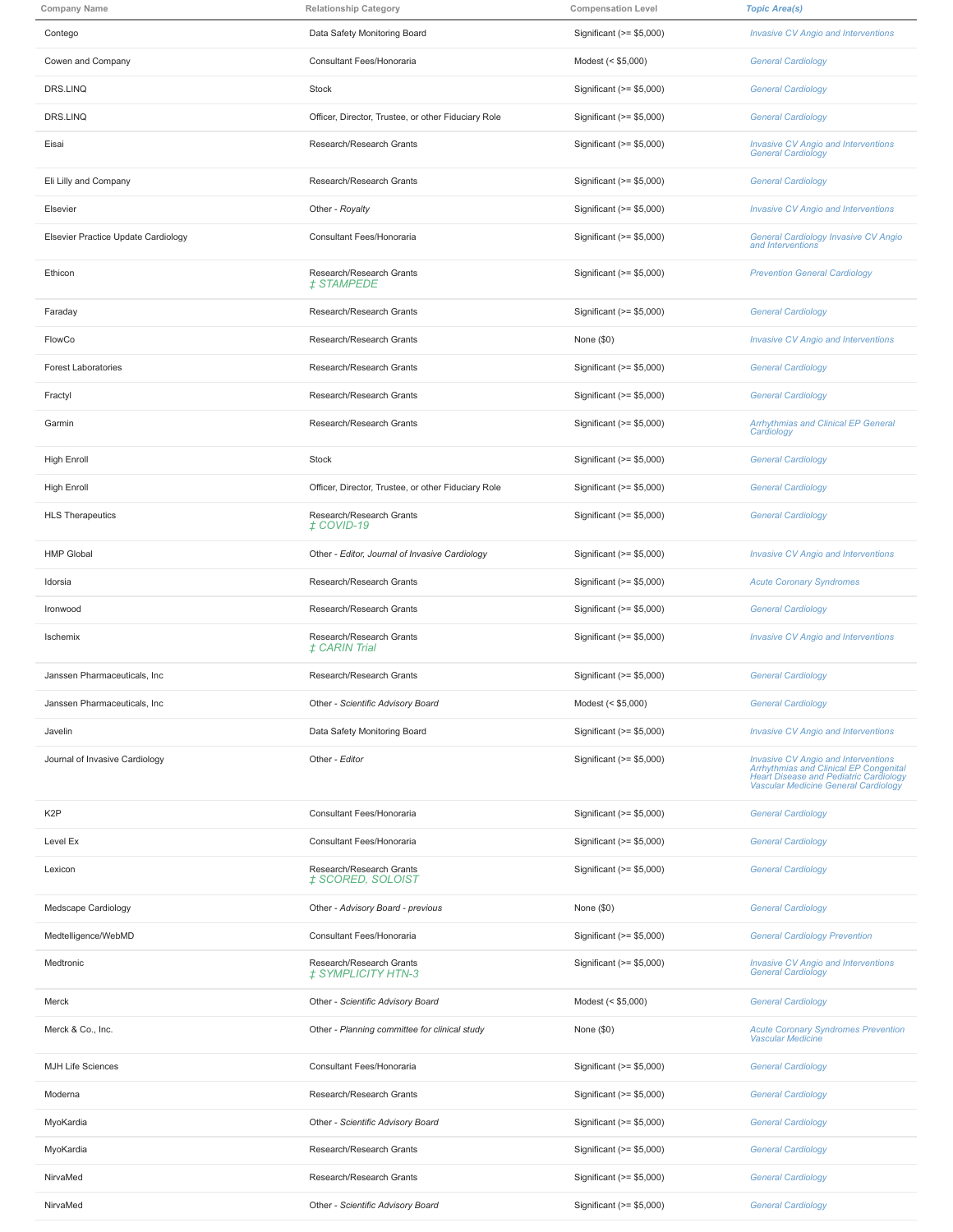| <b>Company Name</b>                 | <b>Relationship Category</b>                                                      | <b>Compensation Level</b> | <b>Topic Area(s)</b>                                                                                                                                            |
|-------------------------------------|-----------------------------------------------------------------------------------|---------------------------|-----------------------------------------------------------------------------------------------------------------------------------------------------------------|
| Contego                             | Data Safety Monitoring Board<br>Significant (>= \$5,000)                          |                           | <b>Invasive CV Angio and Interventions</b>                                                                                                                      |
| Cowen and Company                   | Consultant Fees/Honoraria<br>Modest (< \$5,000)                                   |                           | <b>General Cardiology</b>                                                                                                                                       |
| DRS.LINQ                            | Stock<br>Significant (>= \$5,000)                                                 |                           | <b>General Cardiology</b>                                                                                                                                       |
| DRS.LINQ                            | Officer, Director, Trustee, or other Fiduciary Role<br>Significant (>= \$5,000)   |                           | <b>General Cardiology</b>                                                                                                                                       |
| Eisai                               | Research/Research Grants                                                          | Significant (>= \$5,000)  | <b>Invasive CV Angio and Interventions</b><br><b>General Cardiology</b>                                                                                         |
| Eli Lilly and Company               | Research/Research Grants                                                          | Significant (>= \$5,000)  | <b>General Cardiology</b>                                                                                                                                       |
| Elsevier                            | Other - Royalty                                                                   | Significant (>= \$5,000)  | <b>Invasive CV Angio and Interventions</b>                                                                                                                      |
| Elsevier Practice Update Cardiology | Consultant Fees/Honoraria                                                         | Significant (>= \$5,000)  | General Cardiology Invasive CV Angio<br>and Interventions                                                                                                       |
| Ethicon                             | Research/Research Grants<br><i>‡STAMPEDE</i>                                      | Significant (>= \$5,000)  | <b>Prevention General Cardiology</b>                                                                                                                            |
| Faraday                             | Research/Research Grants                                                          | Significant (>= \$5,000)  | <b>General Cardiology</b>                                                                                                                                       |
| FlowCo                              | Research/Research Grants                                                          | None $(\$0)$              | <b>Invasive CV Angio and Interventions</b>                                                                                                                      |
| <b>Forest Laboratories</b>          | Research/Research Grants                                                          | Significant (>= \$5,000)  | <b>General Cardiology</b>                                                                                                                                       |
| Fractyl                             | Research/Research Grants                                                          | Significant (>= \$5,000)  | <b>General Cardiology</b>                                                                                                                                       |
| Garmin                              | Research/Research Grants                                                          | Significant (>= \$5,000)  | <b>Arrhythmias and Clinical EP General</b><br>Cardiology                                                                                                        |
| <b>High Enroll</b>                  | Stock                                                                             | Significant (>= \$5,000)  | <b>General Cardiology</b>                                                                                                                                       |
| <b>High Enroll</b>                  | Officer, Director, Trustee, or other Fiduciary Role                               | Significant (>= \$5,000)  | <b>General Cardiology</b>                                                                                                                                       |
| <b>HLS Therapeutics</b>             | Research/Research Grants<br>Significant (>= \$5,000)<br>$\ddagger$ COVID-19       |                           | <b>General Cardiology</b>                                                                                                                                       |
| <b>HMP Global</b>                   | Other - Editor, Journal of Invasive Cardiology                                    | Significant (>= \$5,000)  | <b>Invasive CV Angio and Interventions</b>                                                                                                                      |
| Idorsia                             | Research/Research Grants                                                          | Significant (>= \$5,000)  | <b>Acute Coronary Syndromes</b>                                                                                                                                 |
| Ironwood                            | Research/Research Grants                                                          | Significant (>= \$5,000)  | <b>General Cardiology</b>                                                                                                                                       |
| Ischemix                            | Research/Research Grants<br><b>‡CARIN Trial</b>                                   | Significant (>= \$5,000)  | <b>Invasive CV Angio and Interventions</b>                                                                                                                      |
| Janssen Pharmaceuticals, Inc.       | Research/Research Grants                                                          | Significant (>= \$5,000)  | <b>General Cardiology</b>                                                                                                                                       |
| Janssen Pharmaceuticals, Inc        | Other - Scientific Advisory Board                                                 | Modest (< \$5,000)        | <b>General Cardiology</b>                                                                                                                                       |
| Javelin                             | Data Safety Monitoring Board                                                      | Significant (>= \$5,000)  | <b>Invasive CV Angio and Interventions</b>                                                                                                                      |
| Journal of Invasive Cardiology      | Other - Editor                                                                    | Significant (>= \$5,000)  | Invasive CV Angio and Interventions<br>Arrhythmias and Clinical EP Congenital<br>Heart Disease and Pediatric Cardiology<br>Vascular Medicine General Cardiology |
| K <sub>2</sub> P                    | Consultant Fees/Honoraria                                                         | Significant (>= \$5,000)  | <b>General Cardiology</b>                                                                                                                                       |
| Level Ex                            | Consultant Fees/Honoraria                                                         | Significant (>= \$5,000)  | <b>General Cardiology</b>                                                                                                                                       |
| Lexicon                             | Research/Research Grants<br>Significant (>= \$5,000)<br>‡ SCORED, SOLOIST         |                           | <b>General Cardiology</b>                                                                                                                                       |
| Medscape Cardiology                 | Other - Advisory Board - previous                                                 | None $(\$0)$              | <b>General Cardiology</b>                                                                                                                                       |
| Medtelligence/WebMD                 | Consultant Fees/Honoraria                                                         | Significant (>= \$5,000)  | <b>General Cardiology Prevention</b>                                                                                                                            |
| Medtronic                           | Research/Research Grants<br>Significant (>= \$5,000)<br><b>‡ SYMPLICITY HTN-3</b> |                           | <b>Invasive CV Angio and Interventions</b><br><b>General Cardiology</b>                                                                                         |
| Merck                               | Other - Scientific Advisory Board                                                 | Modest (< \$5,000)        | <b>General Cardiology</b>                                                                                                                                       |
| Merck & Co., Inc.                   | Other - Planning committee for clinical study                                     | None $(\$0)$              | <b>Acute Coronary Syndromes Prevention</b><br>Vascular Medicine                                                                                                 |
| <b>MJH Life Sciences</b>            | Consultant Fees/Honoraria                                                         | Significant (>= \$5,000)  | <b>General Cardiology</b>                                                                                                                                       |
| Moderna                             | Research/Research Grants                                                          | Significant (>= \$5,000)  | <b>General Cardiology</b>                                                                                                                                       |
| MyoKardia                           | Other - Scientific Advisory Board                                                 | Significant (>= \$5,000)  | <b>General Cardiology</b>                                                                                                                                       |
| MyoKardia                           | Research/Research Grants                                                          | Significant (>= \$5,000)  | <b>General Cardiology</b>                                                                                                                                       |
| NirvaMed                            | Research/Research Grants                                                          | Significant (>= \$5,000)  | <b>General Cardiology</b>                                                                                                                                       |
| NirvaMed                            | Other - Scientific Advisory Board                                                 |                           | <b>General Cardiology</b>                                                                                                                                       |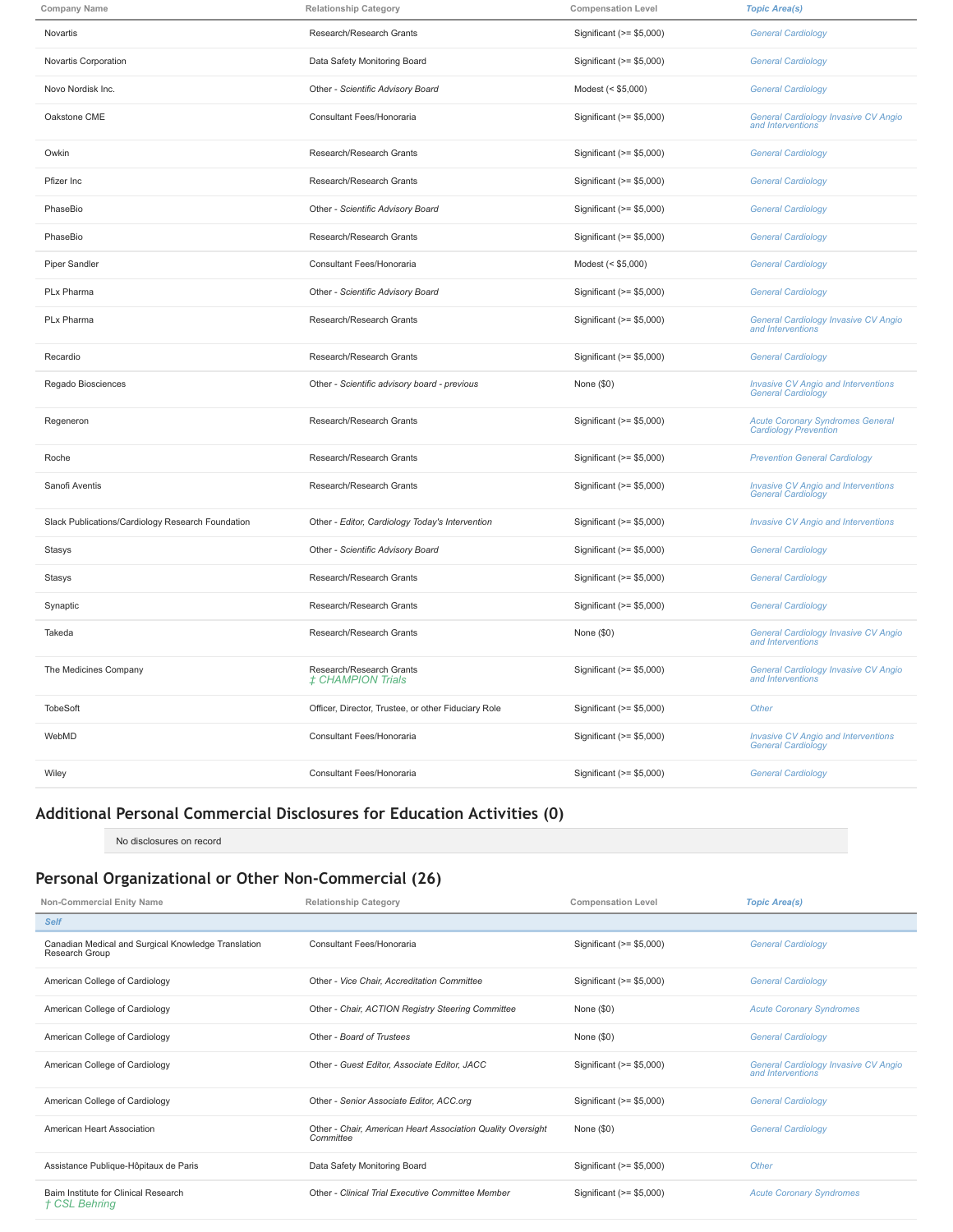| <b>Company Name</b>                                                                                  | <b>Relationship Category</b>                         | <b>Compensation Level</b> | <b>Topic Area(s)</b>                                                    |  |
|------------------------------------------------------------------------------------------------------|------------------------------------------------------|---------------------------|-------------------------------------------------------------------------|--|
| Novartis                                                                                             | Research/Research Grants                             | Significant (>= \$5,000)  | <b>General Cardiology</b>                                               |  |
| Novartis Corporation                                                                                 | Data Safety Monitoring Board                         | Significant (>= \$5,000)  | <b>General Cardiology</b>                                               |  |
| Novo Nordisk Inc.                                                                                    | Other - Scientific Advisory Board                    | Modest (< \$5,000)        | <b>General Cardiology</b>                                               |  |
| Oakstone CME                                                                                         | Consultant Fees/Honoraria                            | Significant (>= \$5,000)  | General Cardiology Invasive CV Angio<br>and Interventions               |  |
| Owkin                                                                                                | Research/Research Grants                             | Significant (>= \$5,000)  | <b>General Cardiology</b>                                               |  |
| Pfizer Inc                                                                                           | Research/Research Grants                             | Significant (>= \$5,000)  | <b>General Cardiology</b>                                               |  |
| PhaseBio                                                                                             | Other - Scientific Advisory Board                    | Significant (>= \$5,000)  | <b>General Cardiology</b>                                               |  |
| PhaseBio                                                                                             | Research/Research Grants                             | Significant (>= \$5,000)  | <b>General Cardiology</b>                                               |  |
| <b>Piper Sandler</b>                                                                                 | Consultant Fees/Honoraria                            | Modest (< \$5,000)        | <b>General Cardiology</b>                                               |  |
| PLx Pharma                                                                                           | Other - Scientific Advisory Board                    | Significant (>= \$5,000)  | <b>General Cardiology</b>                                               |  |
| PLx Pharma                                                                                           | Research/Research Grants                             | Significant (>= \$5,000)  | General Cardiology Invasive CV Angio<br>and Interventions               |  |
| Recardio                                                                                             | Research/Research Grants                             | Significant (>= \$5,000)  | <b>General Cardiology</b>                                               |  |
| Regado Biosciences                                                                                   | Other - Scientific advisory board - previous         | None (\$0)                | <b>Invasive CV Angio and Interventions</b><br>General Cardiology        |  |
| Regeneron                                                                                            | Research/Research Grants                             | Significant (>= \$5,000)  | <b>Acute Coronary Syndromes General</b><br><b>Cardiology Prevention</b> |  |
| Roche                                                                                                | Research/Research Grants                             | Significant (>= \$5,000)  | <b>Prevention General Cardiology</b>                                    |  |
| Sanofi Aventis                                                                                       | Research/Research Grants                             | Significant (>= \$5,000)  | <b>Invasive CV Angio and Interventions</b><br>General Cardiology        |  |
| Slack Publications/Cardiology Research Foundation<br>Other - Editor, Cardiology Today's Intervention |                                                      | Significant (>= \$5,000)  | <b>Invasive CV Angio and Interventions</b>                              |  |
| Stasys                                                                                               | Other - Scientific Advisory Board                    | Significant (>= \$5,000)  | <b>General Cardiology</b>                                               |  |
| Stasys                                                                                               | Research/Research Grants                             |                           | <b>General Cardiology</b>                                               |  |
| Synaptic                                                                                             | Research/Research Grants                             |                           | <b>General Cardiology</b>                                               |  |
| Takeda                                                                                               | Research/Research Grants<br>None (\$0)               |                           | General Cardiology Invasive CV Angio<br>and Interventions               |  |
| The Medicines Company                                                                                | Research/Research Grants<br><b>± CHAMPION Trials</b> | Significant (>= \$5,000)  | General Cardiology Invasive CV Angio<br>and Interventions               |  |
| <b>TobeSoft</b>                                                                                      | Officer, Director, Trustee, or other Fiduciary Role  | Significant (>= \$5,000)  | Other                                                                   |  |
| WebMD                                                                                                | Consultant Fees/Honoraria                            | Significant $(>= $5,000)$ | <b>Invasive CV Angio and Interventions</b><br><b>General Cardiology</b> |  |
| Wiley                                                                                                | Consultant Fees/Honoraria                            | Significant (>= \$5,000)  | <b>General Cardiology</b>                                               |  |

# **Additional Personal Commercial Disclosures for Education Activities (0)**

No disclosures on record

## **Personal Organizational or Other Non-Commercial (26)**

| Non-Commercial Enity Name                                                           | <b>Compensation Level</b><br><b>Relationship Category</b>                |                           | <b>Topic Area(s)</b>                                      |
|-------------------------------------------------------------------------------------|--------------------------------------------------------------------------|---------------------------|-----------------------------------------------------------|
| <b>Self</b>                                                                         |                                                                          |                           |                                                           |
| Canadian Medical and Surgical Knowledge Translation<br>Research Group               | Consultant Fees/Honoraria                                                | Significant (>= \$5,000)  | <b>General Cardiology</b>                                 |
| American College of Cardiology                                                      | Other - Vice Chair, Accreditation Committee                              | Significant (>= \$5,000)  | <b>General Cardiology</b>                                 |
| American College of Cardiology<br>Other - Chair, ACTION Registry Steering Committee |                                                                          | None $(\$0)$              | <b>Acute Coronary Syndromes</b>                           |
| American College of Cardiology                                                      | Other - Board of Trustees                                                | None $(\$0)$              | <b>General Cardiology</b>                                 |
| American College of Cardiology                                                      | Other - Guest Editor, Associate Editor, JACC                             | Significant $(>= $5,000)$ | General Cardiology Invasive CV Angio<br>and Interventions |
| American College of Cardiology                                                      | Other - Senior Associate Editor, ACC.org                                 | Significant $(>= $5,000)$ | <b>General Cardiology</b>                                 |
| American Heart Association                                                          | Other - Chair, American Heart Association Quality Oversight<br>Committee | None $(\$0)$              | <b>General Cardiology</b>                                 |
| Assistance Publique-Hôpitaux de Paris                                               | Data Safety Monitoring Board                                             | Significant (>= \$5,000)  | Other                                                     |
| Baim Institute for Clinical Research<br>† CSL Behring                               | Other - Clinical Trial Executive Committee Member                        | Significant $(>= $5,000)$ | <b>Acute Coronary Syndromes</b>                           |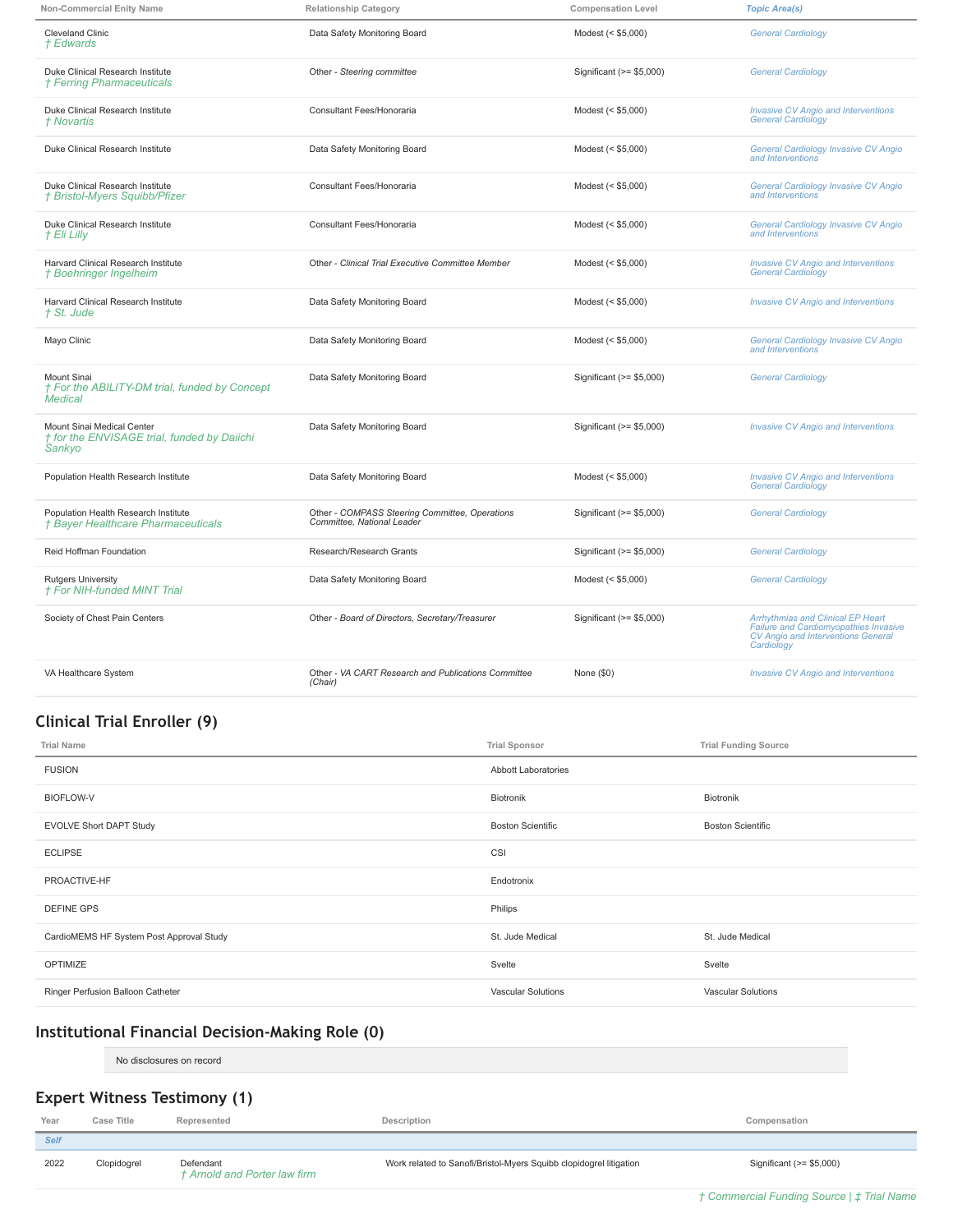| <b>Non-Commercial Enity Name</b>                                                                                                                           | <b>Relationship Category</b><br><b>Compensation Level</b>               |                          | <b>Topic Area(s)</b>                                                                                                           |
|------------------------------------------------------------------------------------------------------------------------------------------------------------|-------------------------------------------------------------------------|--------------------------|--------------------------------------------------------------------------------------------------------------------------------|
| <b>Cleveland Clinic</b><br>† Edwards                                                                                                                       | Data Safety Monitoring Board<br>Modest (< \$5,000)                      |                          | <b>General Cardiology</b>                                                                                                      |
| Duke Clinical Research Institute<br>† Ferring Pharmaceuticals                                                                                              | Other - Steering committee<br>Significant (>= \$5,000)                  |                          | <b>General Cardiology</b>                                                                                                      |
| Duke Clinical Research Institute<br>† Novartis                                                                                                             | Consultant Fees/Honoraria                                               | Modest (< \$5,000)       | <b>Invasive CV Angio and Interventions</b><br><b>General Cardiology</b>                                                        |
| Duke Clinical Research Institute                                                                                                                           | Data Safety Monitoring Board                                            | Modest (< \$5,000)       | General Cardiology Invasive CV Angio<br>and Interventions                                                                      |
| Duke Clinical Research Institute<br>† Bristol-Myers Squibb/Pfizer                                                                                          | Consultant Fees/Honoraria                                               | Modest (< \$5,000)       | General Cardiology Invasive CV Angio<br>and Interventions                                                                      |
| Duke Clinical Research Institute<br>† Eli Lilly                                                                                                            | Consultant Fees/Honoraria                                               | Modest (< \$5,000)       | General Cardiology Invasive CV Angio<br>and Interventions                                                                      |
| Harvard Clinical Research Institute<br>† Boehringer Ingelheim                                                                                              | Other - Clinical Trial Executive Committee Member<br>Modest (< \$5,000) |                          | <b>Invasive CV Angio and Interventions</b><br><b>General Cardiology</b>                                                        |
| Harvard Clinical Research Institute<br>† St. Jude                                                                                                          | Data Safety Monitoring Board<br>Modest (< \$5,000)                      |                          | <b>Invasive CV Angio and Interventions</b>                                                                                     |
| Mayo Clinic                                                                                                                                                | Data Safety Monitoring Board                                            | Modest (< \$5,000)       | <b>General Cardiology Invasive CV Angio</b><br>and Interventions                                                               |
| Mount Sinai<br>† For the ABILITY-DM trial, funded by Concept<br><b>Medical</b>                                                                             | Data Safety Monitoring Board                                            | Significant (>= \$5,000) | <b>General Cardiology</b>                                                                                                      |
| Mount Sinai Medical Center<br>† for the ENVISAGE trial, funded by Daiichi<br>Sankyo                                                                        | Data Safety Monitoring Board                                            |                          | <b>Invasive CV Angio and Interventions</b>                                                                                     |
| Population Health Research Institute                                                                                                                       | Data Safety Monitoring Board<br>Modest (< \$5,000)                      |                          | <b>Invasive CV Angio and Interventions</b><br><b>General Cardiology</b>                                                        |
| Population Health Research Institute<br>Other - COMPASS Steering Committee, Operations<br>Committee, National Leader<br>† Bayer Healthcare Pharmaceuticals |                                                                         | Significant (>= \$5,000) | <b>General Cardiology</b>                                                                                                      |
| Reid Hoffman Foundation                                                                                                                                    | Research/Research Grants                                                |                          | <b>General Cardiology</b>                                                                                                      |
| <b>Rutgers University</b><br><b>† For NIH-funded MINT Trial</b>                                                                                            | Data Safety Monitoring Board                                            | Modest (< \$5,000)       | <b>General Cardiology</b>                                                                                                      |
| Society of Chest Pain Centers                                                                                                                              | Other - Board of Directors, Secretary/Treasurer                         | Significant (>= \$5,000) | Arrhythmias and Clinical EP Heart<br>Failure and Cardiomyopathies Invasive<br>CV Angio and Interventions General<br>Cardiology |
| VA Healthcare System                                                                                                                                       | Other - VA CART Research and Publications Committee<br>(Chair)          | None (\$0)               | <b>Invasive CV Angio and Interventions</b>                                                                                     |

# **Clinical Trial Enroller (9)**

| <b>Trial Name</b>                        | <b>Trial Sponsor</b>      | <b>Trial Funding Source</b> |
|------------------------------------------|---------------------------|-----------------------------|
| <b>FUSION</b>                            | Abbott Laboratories       |                             |
| <b>BIOFLOW-V</b>                         | Biotronik                 | Biotronik                   |
| <b>EVOLVE Short DAPT Study</b>           | <b>Boston Scientific</b>  | <b>Boston Scientific</b>    |
| <b>ECLIPSE</b>                           | CSI                       |                             |
| PROACTIVE-HF                             | Endotronix                |                             |
| <b>DEFINE GPS</b>                        | Philips                   |                             |
| CardioMEMS HF System Post Approval Study | St. Jude Medical          | St. Jude Medical            |
| OPTIMIZE                                 | Svelte                    | Svelte                      |
| Ringer Perfusion Balloon Catheter        | <b>Vascular Solutions</b> | <b>Vascular Solutions</b>   |

## **Institutional Financial Decision-Making Role (0)**

No disclosures on record

# **Expert Witness Testimony (1)**

| Year        | Case Title  | Represented                               | Description                                                        | Compensation             |
|-------------|-------------|-------------------------------------------|--------------------------------------------------------------------|--------------------------|
| <b>Self</b> |             |                                           |                                                                    |                          |
| 2022        | Clopidogrel | Defendant<br>† Arnold and Porter law firm | Work related to Sanofi/Bristol-Myers Squibb clopidogrel litigation | Significant (>= \$5,000) |